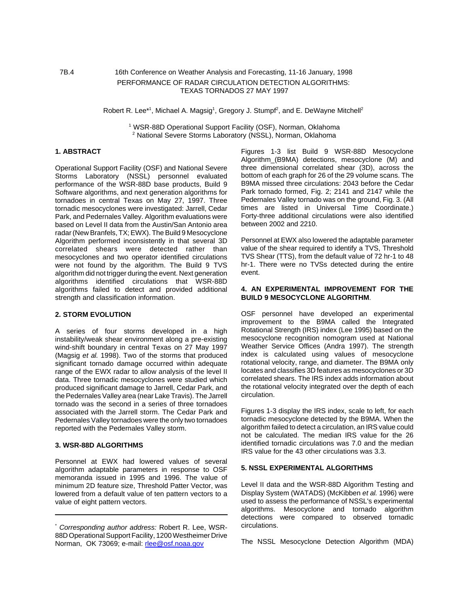# 7B.4 16th Conference on Weather Analysis and Forecasting, 11-16 January, 1998 PERFORMANCE OF RADAR CIRCULATION DETECTION ALGORITHMS: TEXAS TORNADOS 27 MAY 1997

#### Robert R. Lee<sup>\*1</sup>, Michael A. Magsig<sup>1</sup>, Gregory J. Stumpf<sup>2</sup>, and E. DeWayne Mitchell<sup>2</sup>

<sup>1</sup> WSR-88D Operational Support Facility (OSF), Norman, Oklahoma <sup>2</sup> National Severe Storms Laboratory (NSSL), Norman, Oklahoma

# **1. ABSTRACT**

Operational Support Facility (OSF) and National Severe Storms Laboratory (NSSL) personnel evaluated performance of the WSR-88D base products, Build 9 Software algorithms, and next generation algorithms for tornadoes in central Texas on May 27, 1997. Three tornadic mesocyclones were investigated: Jarrell, Cedar Park, and Pedernales Valley. Algorithm evaluations were based on Level II data from the Austin/San Antonio area radar (New Branfels, TX; EWX). The Build 9 Mesocyclone Algorithm performed inconsistently in that several 3D correlated shears were detected rather than mesocyclones and two operator identified circulations were not found by the algorithm. The Build 9 TVS algorithm did not trigger during the event. Next generation algorithms identified circulations that WSR-88D algorithms failed to detect and provided additional strength and classification information.

### **2. STORM EVOLUTION**

A series of four storms developed in a high instability/weak shear environment along a pre-existing wind-shift boundary in central Texas on 27 May 1997 (Magsig *et al.* 1998). Two of the storms that produced significant tornado damage occurred within adequate range of the EWX radar to allow analysis of the level II data. Three tornadic mesocyclones were studied which produced significant damage to Jarrell, Cedar Park, and the Pedernales Valley area (near Lake Travis). The Jarrell tornado was the second in a series of three tornadoes associated with the Jarrell storm. The Cedar Park and Pedernales Valley tornadoes were the only two tornadoes reported with the Pedernales Valley storm.

#### **3. WSR-88D ALGORITHMS**

Personnel at EWX had lowered values of several algorithm adaptable parameters in response to OSF memoranda issued in 1995 and 1996. The value of minimum 2D feature size, Threshold Patter Vector, was lowered from a default value of ten pattern vectors to a value of eight pattern vectors.

Figures 1-3 list Build 9 WSR-88D Mesocyclone Algorithm\_(B9MA) detections, mesocyclone (M) and three dimensional correlated shear (3D), across the bottom of each graph for 26 of the 29 volume scans. The B9MA missed three circulations: 2043 before the Cedar Park tornado formed, Fig. 2; 2141 and 2147 while the Pedernales Valley tornado was on the ground, Fig. 3. (All times are listed in Universal Time Coordinate.) Forty-three additional circulations were also identified between 2002 and 2210.

Personnel at EWX also lowered the adaptable parameter value of the shear required to identify a TVS, Threshold TVS Shear (TTS), from the default value of 72 hr-1 to 48 hr-1. There were no TVSs detected during the entire event.

#### **4. AN EXPERIMENTAL IMPROVEMENT FOR THE BUILD 9 MESOCYCLONE ALGORITHM**.

OSF personnel have developed an experimental improvement to the B9MA called the Integrated Rotational Strength (IRS) index (Lee 1995) based on the mesocyclone recognition nomogram used at National Weather Service Offices (Andra 1997). The strength index is calculated using values of mesocyclone rotational velocity, range, and diameter. The B9MA only locates and classifies 3D features as mesocyclones or 3D correlated shears. The IRS index adds information about the rotational velocity integrated over the depth of each circulation.

Figures 1-3 display the IRS index, scale to left, for each tornadic mesocyclone detected by the B9MA. When the algorithm failed to detect a circulation, an IRS value could not be calculated. The median IRS value for the 26 identified tornadic circulations was 7.0 and the median IRS value for the 43 other circulations was 3.3.

### **5. NSSL EXPERIMENTAL ALGORITHMS**

Level II data and the WSR-88D Algorithm Testing and Display System (WATADS) (McKibben *et al.* 1996) were used to assess the performance of NSSL's experimental algorithms. Mesocyclone and tornado algorithm detections were compared to observed tornadic circulations.

The NSSL Mesocyclone Detection Algorithm (MDA)

<sup>\*</sup> *Corresponding author address:* Robert R. Lee, WSR-88D Operational Support Facility, 1200 Westheimer Drive Norman, OK 73069; e-mail: rlee@osf.noaa.gov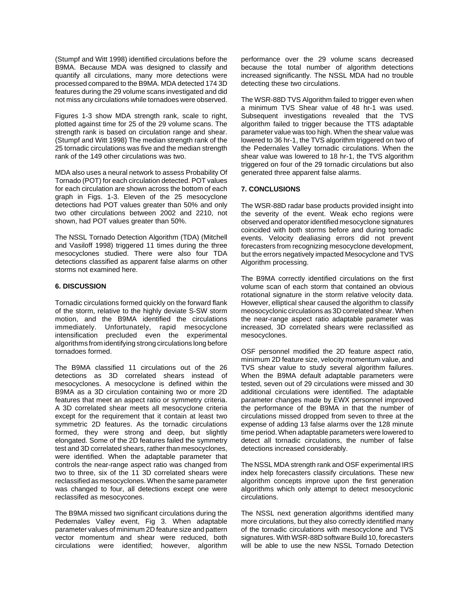(Stumpf and Witt 1998) identified circulations before the B9MA. Because MDA was designed to classify and quantify all circulations, many more detections were processed compared to the B9MA. MDA detected 174 3D features during the 29 volume scans investigated and did not miss any circulations while tornadoes were observed.

Figures 1-3 show MDA strength rank, scale to right, plotted against time for 25 of the 29 volume scans. The strength rank is based on circulation range and shear. (Stumpf and Witt 1998) The median strength rank of the 25 tornadic circulations was five and the median strength rank of the 149 other circulations was two.

MDA also uses a neural network to assess Probability Of Tornado (POT) for each circulation detected. POT values for each circulation are shown across the bottom of each graph in Figs. 1-3. Eleven of the 25 mesocyclone detections had POT values greater than 50% and only two other circulations between 2002 and 2210, not shown, had POT values greater than 50%.

The NSSL Tornado Detection Algorithm (TDA) (Mitchell and Vasiloff 1998) triggered 11 times during the three mesocyclones studied. There were also four TDA detections classified as apparent false alarms on other storms not examined here.

## **6. DISCUSSION**

Tornadic circulations formed quickly on the forward flank of the storm, relative to the highly deviate S-SW storm motion, and the B9MA identified the circulations immediately. Unfortunately, rapid mesocyclone intensification precluded even the experimental algorithms from identifying strong circulations long before tornadoes formed.

The B9MA classified 11 circulations out of the 26 detections as 3D correlated shears instead of mesocyclones. A mesocyclone is defined within the B9MA as a 3D circulation containing two or more 2D features that meet an aspect ratio or symmetry criteria. A 3D correlated shear meets all mesocyclone criteria except for the requirement that it contain at least two symmetric 2D features. As the tornadic circulations formed, they were strong and deep, but slightly elongated. Some of the 2D features failed the symmetry test and 3D correlated shears, rather than mesocyclones, were identified. When the adaptable parameter that controls the near-range aspect ratio was changed from two to three, six of the 11 3D correlated shears were reclassified as mesocyclones. When the same parameter was changed to four, all detections except one were reclassifed as mesocycones.

The B9MA missed two significant circulations during the Pedernales Valley event, Fig 3. When adaptable parameter values of minimum 2D feature size and pattern vector momentum and shear were reduced, both circulations were identified; however, algorithm performance over the 29 volume scans decreased because the total number of algorithm detections increased significantly. The NSSL MDA had no trouble detecting these two circulations.

The WSR-88D TVS Algorithm failed to trigger even when a minimum TVS Shear value of 48 hr-1 was used. Subsequent investigations revealed that the TVS algorithm failed to trigger because the TTS adaptable parameter value was too high. When the shear value was lowered to 36 hr-1, the TVS algorithm triggered on two of the Pedernales Valley tornadic circulations. When the shear value was lowered to 18 hr-1, the TVS algorithm triggered on four of the 29 tornadic circulations but also generated three apparent false alarms.

## **7. CONCLUSIONS**

The WSR-88D radar base products provided insight into the severity of the event. Weak echo regions were observed and operator identified mesocyclone signatures coincided with both storms before and during tornadic events. Velocity dealiasing errors did not prevent forecasters from recognizing mesocyclone development, but the errors negatively impacted Mesocyclone and TVS Algorithm processing.

The B9MA correctly identified circulations on the first volume scan of each storm that contained an obvious rotational signature in the storm relative velocity data. However, elliptical shear caused the algorithm to classify meosocyclonic circulations as 3D correlated shear. When the near-range aspect ratio adaptable parameter was increased, 3D correlated shears were reclassified as mesocyclones.

OSF personnel modified the 2D feature aspect ratio, minimum 2D feature size, velocity momentum value, and TVS shear value to study several algorithm failures. When the B9MA default adaptable parameters were tested, seven out of 29 circulations were missed and 30 additional circulations were identified. The adaptable parameter changes made by EWX personnel improved the performance of the B9MA in that the number of circulations missed dropped from seven to three at the expense of adding 13 false alarms over the 128 minute time period. When adaptable parameters were lowered to detect all tornadic circulations, the number of false detections increased considerably.

The NSSL MDA strength rank and OSF experimental IRS index help forecasters classify circulations. These new algorithm concepts improve upon the first generation algorithms which only attempt to detect mesocyclonic circulations.

The NSSL next generation algorithms identified many more circulations, but they also correctly identified many of the tornadic circulations with mesocyclone and TVS signatures. With WSR-88D software Build 10, forecasters will be able to use the new NSSL Tornado Detection